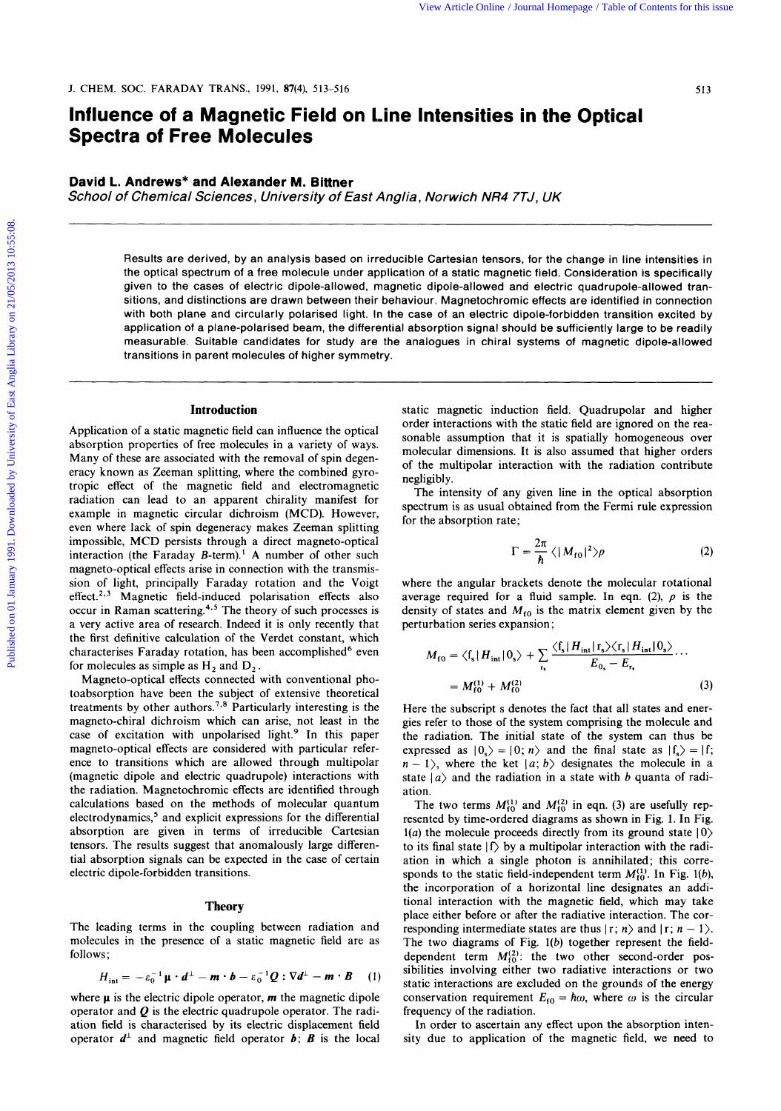# **Influence of a Magnetic Field on Line Intensities in the Optical Spectra of Free Molecules**

# **David L. Andrews" and Alexander M. Blttner**

*School of Chemical Sciences, University of East Angtia, Norwich NR4 7TJ, UK* 

Results are derived, by an analysis based on irreducible Cartesian tensors, for the change in line intensities in the optical spectrum of a free molecule under application of a static magnetic field. Consideration is specifically given to the cases of electric dipole-allowed, magnetic dipole-allowed and electric quadrupole-allowed transitions, and distinctions are drawn between their behaviour. Magnetochromic effects are identified in connection with both plane and circularly polarised light. In the case of an electric dipole-forbidden transition excited by application of a plane-polarised beam, the differential absorption signal should be sufficiently large to be readily measurable. Suitable candidates for study are the analogues in chiral systems of magnetic dipole-allowed transitions in parent molecules of higher symmetry.

### **Introduction**

Application of a static magnetic field can influence the optical absorption properties of free molecules in a variety of ways. Many of these are associated with the removal of spin degeneracy known as Zeeman splitting, where the combined gyrotropic effect of the magnetic field and electromagnetic radiation can lead to an apparent chirality manifest for example in magnetic circular dichroism (MCD). However, even where lack of spin degeneracy makes Zeeman splitting impossible, MCD persists through a direct magneto-optical interaction (the Faraday B-term).' **A** number of other such magneto-optical effects arise in connection with the transmission of light, principally Faraday rotation and the Voigt  $effect.<sup>2,3</sup> Magnetic field-induced polarisation effects also$ occur in Raman scattering.<sup>4,5</sup> The theory of such processes is a very active area of research. Indeed it is only recently that the first definitive calculation of the Verdet constant, which characterises Faraday rotation, has been accomplished<sup>6</sup> even for molecules as simple as  $H_2$  and  $D_2$ . For Article One Article On Distribution is the Bureau of Contents for the Contents of Contents and Alexander M. Bitter<br>
David L. Andrews<sup>a</sup> and Alexander M. Bitter<br>
David L. Andrews<sup>a</sup> and Alexander M. Bitter<br>
School of C

Magneto-optical effects connected with conventional photoabsorption have been the subject of extensive theoretical treatments by other authors.<sup>7,8</sup> Particularly interesting is the magneto-chiral dichroism which can arise, not least in the case of excitation with unpolarised light.<sup>9</sup> In this paper magneto-optical effects are considered with particular reference to transitions which are allowed through multipolar (magnetic dipole and electric quadrupole) interactions with the radiation. Magnetochromic effects are identified through calculations based on the methods of molecular quantum electrodynamics,<sup>5</sup> and explicit expressions for the differential absorption are given in terms of irreducible Cartesian tensors. The results suggest that anomalously large differential absorption signals can be expected in the case of certain electric dipole-forbidden transitions.

### **Theory**

The leading terms in the coupling between radiation and molecules in the presence of a static magnetic field are as follows;

$$
H_{\text{int}} = -\varepsilon_0^{-1} \mathbf{\mu} \cdot d^{\perp} - \mathbf{m} \cdot \mathbf{b} - \varepsilon_0^{-1} \mathbf{Q} : \nabla d^{\perp} - \mathbf{m} \cdot \mathbf{B} \quad (1) \quad \text{sublities in the}
$$

where  $\mu$  is the electric dipole operator,  $\boldsymbol{m}$  the magnetic dipole operator and *Q* is the electric quadrupole operator. The radiation field is characterised by its electric displacement field operator  $d^{\perp}$  and magnetic field operator **b**; **B** is the local static magnetic induction field. Quadrupolar and higher order interactions with the static field are ignored on the reasonable assumption that it is spatially homogeneous over molecular dimensions. It is also assumed that higher orders of the multipolar interaction with the radiation contribute negligibly.

The intensity of any given line in the optical absorption spectrum is as usual obtained from the Fermi rule expression for the absorption rate;

$$
\Gamma = \frac{2\pi}{\hbar} \langle |M_{\text{f0}}|^2 \rangle \rho \tag{2}
$$

where the angular brackets denote the molecular rotational average required for a fluid sample. In eqn. (2),  $\rho$  is the density of states and  $M_{f0}$  is the matrix element given by the perturbation series expansion ;

$$
M_{\rm fo} = \langle f_s | H_{\rm int} | 0_s \rangle + \sum_{r_s} \frac{\langle f_s | H_{\rm int} | r_s \rangle \langle r_s | H_{\rm int} | 0_s \rangle}{E_{0_s} - E_{r_s}} \cdots
$$
  
=  $M_{\rm fo}^{(1)} + M_{\rm fo}^{(2)}$  (3)

Here the subscript s denotes the fact that all states and energies refer to those of the system comprising the molecule and the radiation. The initial state of the system can thus be expressed as  $|0_s\rangle = |0; n\rangle$  and the final state as  $|f_s\rangle = |f;$  $n - 1$ , where the ket  $|a; b\rangle$  designates the molecule in a state  $|a\rangle$  and the radiation in a state with *b* quanta of radiation.

The two terms  $M_{f0}^{(1)}$  and  $M_{f0}^{(2)}$  in eqn. (3) are usefully represented by time-ordered diagrams as shown in Fig. 1. In Fig.  $l(a)$  the molecule proceeds directly from its ground state  $|0\rangle$ to its final state  $|f\rangle$  by a multipolar interaction with the radiation in which a single photon is annihilated; this corresponds to the static field-independent term  $M_{\text{f0}}^{(1)}$ . In Fig. 1(b), the incorporation of a horizontal line designates an additional interaction with the magnetic field, which may take place either before or after the radiative interaction. The corresponding intermediate states are thus  $|r; n\rangle$  and  $|r; n-1\rangle$ . The two diagrams of Fig.  $1(b)$  together represent the fielddependent term  $M_{10}^{(2)}$ : the two other second-order possibilities involving either two radiative interactions or two static interactions are excluded on the grounds of the energy conservation requirement  $E_{f0} = \hbar \omega$ , where  $\omega$  is the circular frequency of the radiation.

In order to ascertain any effect upon the absorption intensity due to application of the magnetic field, we need to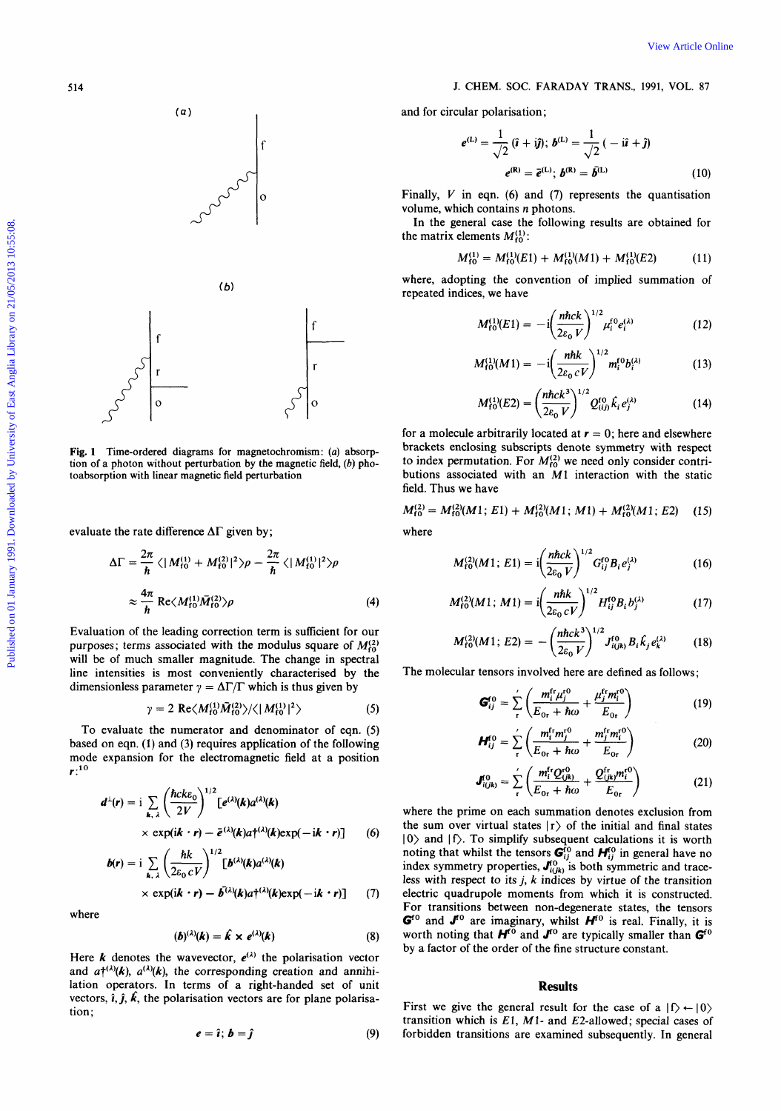# **514 J. CHEM.** *SOC.* **FARADAY TRANS., 1991, VOL. 87**

and for circular polarisation;  
\n
$$
e^{(L)} = \frac{1}{\sqrt{2}} (\hat{i} + i\hat{j}); b^{(L)} = \frac{1}{\sqrt{2}} (-i\hat{i} + \hat{j})
$$
\n
$$
e^{(R)} = \bar{e}^{(L)}; b^{(R)} = \bar{b}^{(L)}
$$
\n(10)

Finally, **V** in eqn. **(6)** and **(7)** represents the quantisation volume, which contains *n* photons.

In the general case the following results are obtained for the matrix elements  $M_{f0}^{(1)}$ :

$$
M_{\rm f0}^{(1)} = M_{\rm f0}^{(1)}(E1) + M_{\rm f0}^{(1)}(M1) + M_{\rm f0}^{(1)}(E2) \tag{11}
$$

where, adopting the convention of implied summation of repeated indices, we have

$$
M_{\rm f0}^{(1)}(E1) = -i \left( \frac{\textit{nhck}}{2\varepsilon_0 V} \right)^{1/2} \mu_{\rm i}^{\rm f0} e_{\rm i}^{(\lambda)} \tag{12}
$$

$$
M_{\rm f0}^{(1)}(M1) = -i \left( \frac{n \hbar k}{2\varepsilon_0 c V} \right)^{1/2} m_i^{\rm f0} b_i^{(\lambda)} \tag{13}
$$

$$
M_{\rm f0}^{(1)}(E2) = \left(\frac{n\hbar ck^3}{2\varepsilon_0 V}\right)^{1/2} Q_{(i,j)}^{\rm f0} \hat{k}_i e_j^{(\lambda)} \tag{14}
$$

for a molecule arbitrarily located at  $r = 0$ ; here and elsewhere brackets enclosing subscripts denote symmetry with respect to index permutation. For  $M_{10}^{(2)}$  we need only consider contributions associated with an **M1** interaction with the static field. Thus we have

$$
M_{\rm f0}^{(2)} = M_{\rm f0}^{(2)}(M1; E1) + M_{\rm f0}^{(2)}(M1; M1) + M_{\rm f0}^{(2)}(M1; E2)
$$
 (15)

where

$$
M_{f0}^{(2)}(M1; E1) = i \left( \frac{n \hbar c k}{2 \varepsilon_0 V} \right)^{1/2} G_{ij}^{f0} B_i e_j^{(\lambda)} \tag{16}
$$

$$
H_{10}^{(2)}(M1; M1) = i \left( \frac{n \hbar k}{2\varepsilon_0 c V} \right)^{1/2} H_{ij}^{(0)} B_i b_j^{(\lambda)} \tag{17}
$$

$$
M_{\rm f0}^{(2)}(M1; E2) = -\left(\frac{n\hbar ck^3}{2\varepsilon_0 V}\right)^{1/2} J_{i(jk)}^{\rm f0} B_i \hat{k}_j e_k^{(\lambda)} \tag{18}
$$

The molecular tensors involved here are defined as follows;

$$
\mathbf{G}_{ij}^{\text{ro}} = \sum_{\text{r}}' \left( \frac{m_i^{\text{fr}} \mu_j^{\text{ro}}}{E_{\text{or}} + \hbar \omega} + \frac{\mu_j^{\text{fr}} m_i^{\text{ro}}}{E_{\text{or}}} \right) \tag{19}
$$

$$
\boldsymbol{H}_{ij}^{\text{ro}} = \sum_{\text{r}}' \left( \frac{m_i^{\text{fr}} m_j^{\text{ro}}}{E_{\text{or}} + \hbar \omega} + \frac{m_j^{\text{fr}} m_i^{\text{ro}}}{E_{\text{or}}} \right) \tag{20}
$$

$$
J_{i(jk)}^{0} = \sum_{r}^{\prime} \left( \frac{m_{i}^{f r} Q_{(jk)}^{r0}}{E_{0r} + \hbar \omega} + \frac{Q_{(jk)}^{fr} m_{i}^{r0}}{E_{0r}} \right)
$$
(21)

where the prime on each summation denotes exclusion from the sum over virtual states  $|r\rangle$  of the initial and final states **10)** and **If).** To simplify subsequent calculations it is worth noting that whilst the tensors  $\mathbf{G}_{ij}^{to}$  and  $\mathbf{H}_{ij}^{to}$  in general have no index symmetry properties,  $\mathbf{J}_{i(h)}^{to}$  is both symmetric and traceless with respect to its  $j$ ,  $k$  indices by virtue of the transition electric quadrupole moments from which it is constructed. For transitions between non-degenerate states, the tensors  $G<sup>f0</sup>$  and  $J<sup>f0</sup>$  are imaginary, whilst  $H<sup>f0</sup>$  is real. Finally, it is worth noting that  $H^{\overline{0}}$  and  $J^{\overline{0}}$  are typically smaller than  $G^{\overline{0}}$ by a factor of the order of the fine structure constant.

# **Results**

First we give the general result for the case of a  $|f\rangle \leftarrow |0\rangle$ transition which is El, *MI-* and E2-allowed; special cases of forbidden transitions are examined subsequently. In general



evaluate the rate difference  $\Delta\Gamma$  given by;

$$
\Delta\Gamma = \frac{2\pi}{\hbar} \langle |M_{\text{f0}}^{(1)} + M_{\text{f0}}^{(2)}|^2 \rangle \rho - \frac{2\pi}{\hbar} \langle |M_{\text{f0}}^{(1)}|^2 \rangle \rho
$$
  

$$
\approx \frac{4\pi}{\hbar} \text{Re} \langle M_{\text{f0}}^{(1)} \bar{M}_{\text{f0}}^{(2)} \rangle \rho
$$
 (4)

Evaluation of the leading correction term is sufficient for our purposes; terms associated with the modulus square of  $M_{\rm f0}^{(2)}$ will be of much smaller magnitude. The change in spectral line intensities is most conveniently characterised by the dimensionless parameter  $\gamma = \Delta \Gamma / \Gamma$  which is thus given by

$$
\gamma = 2 \operatorname{Re} \langle M_{\rm f0}^{(1)} \tilde{M}_{\rm f0}^{(2)} \rangle / \langle |M_{\rm f0}^{(1)}|^2 \rangle \tag{5}
$$

To evaluate the numerator and denominator of eqn. *(5)*  based on eqn. **(1)** and (3) requires application of the following mode expansion for the electromagnetic field at a position *r:l0* 

$$
d^{\perp}(r) = \mathbf{i} \sum_{\mathbf{k}, \lambda} \left( \frac{\hbar c k \varepsilon_0}{2V} \right)^{1/2} \left[ e^{(\lambda)}(\mathbf{k}) a^{(\lambda)}(\mathbf{k}) \right] \times \exp(i\mathbf{k} \cdot \mathbf{r}) - \bar{e}^{(\lambda)}(\mathbf{k}) a^{\dagger(\lambda)}(\mathbf{k}) \exp(-i\mathbf{k} \cdot \mathbf{r})] \tag{6}
$$

$$
b(r) = i \sum_{k, \lambda} \left( \frac{\hbar k}{2\varepsilon_0 c V} \right)^{1/2} \left[ b^{(\lambda)}(k) a^{(\lambda)}(k) \times \exp(i\mathbf{k} \cdot \mathbf{r}) - \bar{b}^{(\lambda)}(k) a \dagger^{(\lambda)}(k) \exp(-i\mathbf{k} \cdot \mathbf{r}) \right]
$$
(7)

where

$$
(\boldsymbol{b})^{(\lambda)}(\boldsymbol{k}) = \boldsymbol{k} \times \boldsymbol{e}^{(\lambda)}(\boldsymbol{k}) \tag{8}
$$

Here *k* denotes the wavevector,  $e^{(\lambda)}$  the polarisation vector and  $a^{\dagger(\lambda)}(k)$ ,  $a^{(\lambda)}(k)$ , the corresponding creation and annihilation operators. In terms of a right-handed set of unit vectors,  $\hat{i}$ ,  $\hat{j}$ ,  $\hat{k}$ , the polarisation vectors are for plane polarisation:



f

 $\epsilon$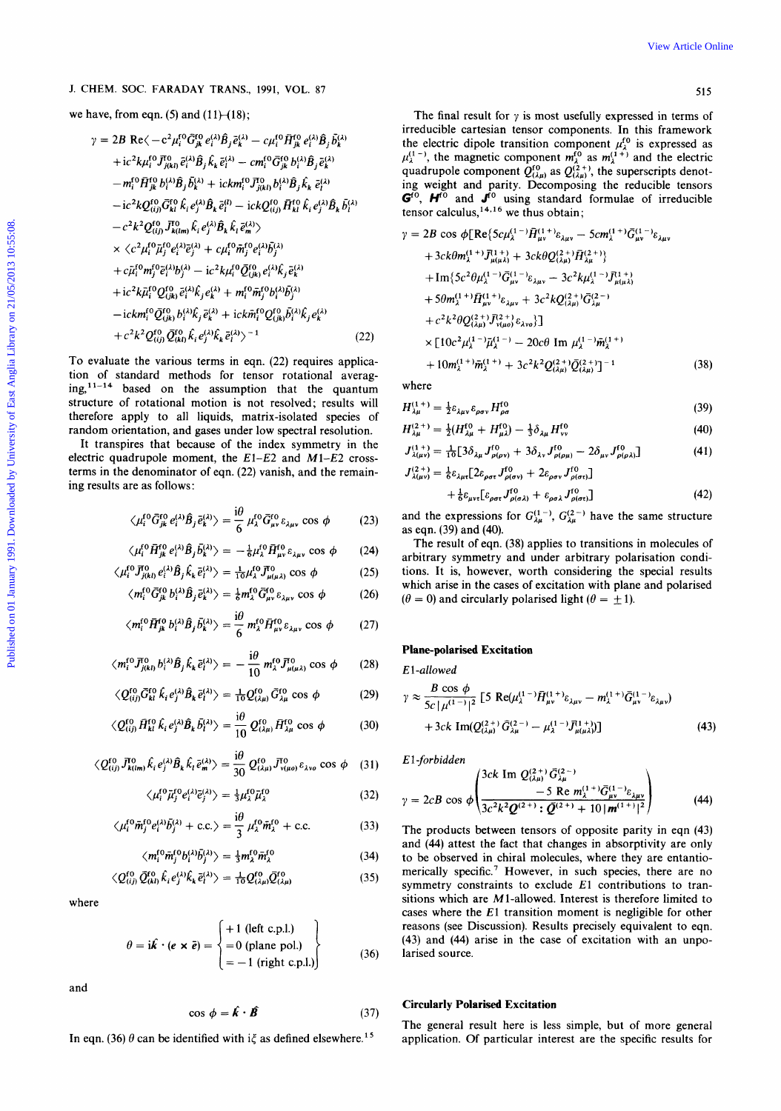we have, from eqn. (5) and  $(11)$ – $(18)$ ;

J. CHEM. SOC. FARADAY TRANS, 1991, VOL. 87  
\nwe have, from eqn. (5) and (11) (18);  
\n
$$
7 = 2B \text{ Re} \langle -c^2 \mu_1^{(0)} G_{\mu}^{(0)} \rho_1^{(0)} \beta_1^{(1)} - \sigma \mu_1^{(0)} \beta_1^{(0)} \rho_1^{(1)} \beta_1^{(1)} \rangle
$$
\n
$$
+ i c^3 k \mu_1^{(0)} \mathcal{T}_{\mu}^{(0)} \partial_1^{(0)} \rho_1^{(0)} \beta_1^{(1)} + i c k \mu_1^{(0)} \mathcal{T}_{\mu}^{(0)} \partial_1^{(0)} \rho_1^{(1)} \beta_1^{(1)} + \cdots + i c m_1^{(0)} \sigma_{\mu}^{(0)} \partial_1^{(0)} \rho_1^{(1)} \beta_1^{(1)} \rho_1^{(1)} \rangle
$$
\n
$$
= - m_1^{(0)} \mathcal{H}_B^{(0)} \rho_1^{(0)} \beta_1^{(1)} + i c k \mu_1^{(0)} \mathcal{T}_{\mu}^{(0)} \beta_1^{(1)} \beta_1^{(1)} + \cdots + i c m_1^{(0)} \sigma_{\mu}^{(0)} \beta_1^{(1)} \beta_1^{(1)} \rho_1^{(1)} \rho_1^{(1)} \rho_1^{(1)} \rho_1^{(1)} \rho_1^{(1)} \rho_1^{(1)} \rho_1^{(1)} \rho_1^{(1)} \rho_1^{(1)} \rho_1^{(1)} \rho_1^{(1)} \rho_1^{(1)} \rho_1^{(1)} \rho_1^{(1)} \rho_1^{(1)} \rho_1^{(1)} \rho_1^{(1)} \rho_1^{(1)} \rho_1^{(1)} \rho_1^{(1)} \rho_1^{(1)} \rho_1^{(1)} \rho_1^{(1)} \rho_1^{(1)} \rho_1^{(1)} \rho_1^{(1)} \rho_1^{(1)} \rho_1^{(1)} \rho_1^{(1)} \rho_1^{(1)} \rho_1^{(1)} \rho_1^{(1)} \rho_1^{(1)} \rho_1^{(1)} \rho_1^{(1)} \rho_1^{(1)} \rho_1^{(1)} \rho_1^{(1)} \rho_1^{(1)} \rho_1^{(1)} \rho_1^{(1)}
$$

To evaluate the various terms in eqn. (22) requires application of standard methods for tensor rotational averaging,' *1-14* based on the assumption that the quantum structure of rotational motion is not resolved; results will therefore apply to all liquids, matrix-isolated species of random orientation, and gases under low spectral resolution.

It transpires that because of the index symmetry in the electric quadrupole moment, the  $E1-E2$  and  $M1-E2$  crossterms in the denominator of eqn. (22) vanish, and the remaining results are as follows:

$$
\langle \mu_i^{(0)} \bar{G}^{(0)}_{jk} e_i^{(\lambda)} \hat{B}_j \bar{e}_k^{(\lambda)} \rangle = \frac{i\theta}{6} \mu_\lambda^{(0)} \bar{G}^{(0)}_{\mu\nu} \varepsilon_{\lambda\mu\nu} \cos \phi \tag{23}
$$

$$
\langle \mu_i^{\text{U}} H_{jk}^{\text{U}} e_i^{\text{A}} B_j b_k^{\text{A}} \rangle = -\frac{1}{6} \mu_i^{\text{U}} H_{\mu\nu}^{\text{U}} \varepsilon_{\lambda \mu \nu} \cos \phi \qquad (24)
$$

$$
\mu_i J_{j(kl)} e_i D_j K_k e_l' = \frac{1}{10} \mu_i J_{\mu(\mu\lambda)} \cos \varphi \tag{23}
$$

$$
\langle m_i^{\rm U} G_{jk}^{\rm U} b_i^{\prime\lambda} B_j \bar{e}_k^{\lambda\prime} \rangle = \frac{1}{6} m_\lambda^{\rm U} G_{\mu\nu}^{\rm U} \epsilon_{\lambda\mu\nu} \cos \phi \tag{26}
$$

$$
\langle m_i^{f0} \bar{H}_{jk}^{f0} b_i^{(\lambda)} \hat{B}_j \bar{b}_k^{(\lambda)} \rangle = \frac{10}{6} m_\lambda^{f0} \bar{H}_{\mu\nu}^{f0} \varepsilon_{\lambda\mu\nu} \cos \phi \qquad (27)
$$

$$
\langle m_i^{f0} \bar{J}_{j(kl)}^{0} b_i^{(\lambda)} \hat{B}_j \hat{k}_k \bar{e}_l^{(\lambda)} \rangle = -\frac{10}{10} m_\lambda^{f0} \bar{J}_{\mu(\mu\lambda)}^{0} \cos \phi \qquad (28)
$$

$$
\langle Q_{(ij)}^{f0} \bar{G}_{kl}^{f0} \hat{k}_i e_j^{(\lambda)} \hat{B}_k \bar{e}_l^{(\lambda)} \rangle = \frac{1}{10} Q_{(\lambda \mu)}^{f0} \bar{G}_{\lambda \mu}^{f0} \cos \phi \tag{29}
$$

$$
\langle Q_{(i j)}^{f0} \, \bar{H}_{kl}^{f0} \, \hat{k}_i \, e_j^{(\lambda)} \hat{B}_k \, \bar{b}_l^{(\lambda)} \rangle = \frac{^{10}}{10} \, Q_{(\lambda \mu)}^{f0} \, \bar{H}_{\lambda \mu}^{f0} \, \cos \, \phi \tag{30}
$$

$$
\langle Q_{(ij)}^{f0} \bar{J}_{k(lm)}^{f0} \hat{k}_i e_j^{(\lambda)} \hat{B}_k \hat{k}_l \bar{e}_m^{(\lambda)} \rangle = \frac{10}{30} Q_{(\lambda\mu)}^{f0} \bar{J}_{\nu(\mu o)}^{f0} \varepsilon_{\lambda\nu o} \cos \phi \quad (31)
$$

$$
\langle \mu_i^{f0} \bar{\mu}_j^{f0} e_i^{(\lambda)} \bar{e}_j^{(\lambda)} \rangle = \frac{1}{3} \mu_\lambda^{f0} \bar{\mu}_\lambda^{f0} \tag{32}
$$

$$
\langle \mu_i^{f0} \bar{m}_j^{f0} e_i^{(\lambda)} \bar{b}_j^{(\lambda)} + \text{c.c.} \rangle = \frac{\mathrm{i} \theta}{3} \mu_\lambda^{f0} \bar{m}_\lambda^{f0} + \text{c.c.}
$$
 (33)

$$
\langle m_i^{f0} \bar{m}_j^{f0} b_i^{(\lambda)} \bar{b}_j^{(\lambda)} \rangle = \frac{1}{3} m_\lambda^{f0} \bar{m}_\lambda^{f0} \tag{34}
$$

$$
\langle Q_{(ij)}^{\text{f0}} \bar{Q}_{(kl)}^{\text{f0}} \hat{k}_i e_j^{(\lambda)} \hat{k}_k \bar{e}_l^{(\lambda)} \rangle = \frac{1}{10} Q_{(\lambda \mu)}^{\text{f0}} \bar{Q}_{(\lambda \mu)}^{\text{f0}} \tag{35}
$$

where

$$
\theta = \mathbf{i}\hat{\mathbf{k}} \cdot (\mathbf{e} \times \mathbf{\vec{e}}) = \begin{cases} +1 \text{ (left c.p.l.)} \\ =0 \text{ (plane pol.)} \\ = -1 \text{ (right c.p.l.)} \end{cases}
$$
(36)

and

$$
\cos \phi = \hat{\mathbf{k}} \cdot \hat{\mathbf{B}} \tag{37}
$$

In eqn. (36)  $\theta$  can be identified with i $\xi$  as defined elsewhere.<sup>15</sup>

The final result for  $\gamma$  is most usefully expressed in terms of irreducible Cartesian tensor components. In this framework the electric dipole transition component  $\mu_{\lambda}^{f0}$  is expressed as  $\mu_{\lambda}^{(1-)}$ , the magnetic component  $m_{\lambda}^{(0)}$  as  $m_{\lambda}^{(1+)}$  and the electric quadrupole component  $Q_{(\lambda\mu)}^{f0}$  as  $Q_{(\lambda\mu)}^{(2+)}$ , the superscripts denoting weight and parity. Decomposing the reducible tensors Go, **H'O** and **J'O** using standard formulae of irreducible

tensor calculus,<sup>14,16</sup> we thus obtain;  
\n
$$
\gamma = 2B \cos \phi [\text{Re}\{5c\mu_{\lambda}^{(1-j)}\bar{H}_{\mu\nu}^{(1+i)}\epsilon_{\lambda\mu\nu} - 5cm_{\lambda}^{(1+i)}\bar{G}_{\mu\nu}^{(1-i)}\epsilon_{\lambda\mu\nu} + 3ck\theta m_{\lambda}^{(1+i)}\bar{J}_{\mu(\mu\lambda)}^{(1+i)} + 3ck\theta Q_{(\lambda\mu)}^{(2+i)}\bar{H}_{\lambda\mu}^{(2+i)}\} + \text{Im}\{5c^2\theta\mu_{\lambda}^{(1-i)}\bar{G}_{\mu\nu}^{(1-i)}\epsilon_{\lambda\mu\nu} - 3c^2k\mu_{\lambda}^{(1-i)}\bar{J}_{\mu(\mu\lambda)}^{(1+i)} + 5\theta m_{\lambda}^{(1+i)}\bar{H}_{\mu\nu}^{(1+i)}\epsilon_{\lambda\mu\nu} + 3c^2kQ_{(\lambda\mu)}^{(2+i)}\bar{G}_{\lambda\mu}^{(2-i)} + c^2k^2\theta Q_{(\lambda\mu)}^{(2+i)}\bar{J}_{\nu(\mu\sigma)}^{(2+i)}\epsilon_{\lambda\nu\sigma}\} ] \times [10c^2\mu_{\lambda}^{(1-i)}\bar{\mu}_{\lambda}^{(1-i)} - 20c\theta \text{ Im }\mu_{\lambda}^{(1-i)}\bar{m}_{\lambda}^{(1+i)} + 110c(1+i) + 2c^2k^2Q_{(\lambda\mu)}^{(2+i)}\bar{G}_{\lambda\mu}^{(2+i)} - 110c(1+i) + 2c^2k^2Q_{(\lambda\mu)}^{(2+i)}\bar{G}_{\lambda\mu}^{(2+i)} - 110c(1+i) + c^2k^2Q_{(\lambda\mu)}^{(2+i)}\bar{G}_{\lambda\mu}^{(2+i)} - 110c(1+i) + c^2k^2Q_{(\lambda\mu)}^{(2+i)}\bar{G}_{\lambda\mu}^{(2+i)} - 110c(1+i) + c^2k^2Q_{(\lambda\mu)}^{(2+i)}\bar{G}_{\lambda\mu}^{(2+i)} - 110c(1+i) + c^2k^2Q_{(\lambda\mu)}^{(2+i)}\bar{G}_{\lambda\mu}^{(2+i)}\bar{G}_{\lambda\mu}^{(2+i)} - 110c(1+i) + c^2k^2Q_{(\lambda\
$$

where

$$
H_{\lambda\mu}^{(1+)} = \frac{1}{2} \varepsilon_{\lambda\mu\nu} \varepsilon_{\rho\sigma\nu} H_{\rho\sigma}^{(0)}
$$
 (39)

$$
H_{\lambda\mu}^{(2+)} = \frac{1}{2}(H_{\lambda\mu}^{(0)} + H_{\mu\lambda}^{(0)}) - \frac{1}{3}\delta_{\lambda\mu}H_{vv}^{(0)}
$$
(40)

$$
J_{\lambda(\mu\nu)}^{(1+)} = \frac{1}{10} \left[ 3\delta_{\lambda\mu} J_{\rho(\rho\nu)}^{f0} + 3\delta_{\lambda\nu} J_{\rho(\rho\mu)}^{f0} - 2\delta_{\mu\nu} J_{\rho(\rho\lambda)}^{f0} \right]
$$
(41)  

$$
I^{(2+)} = \frac{1}{10} \left[ 72e^{-\int_{0}^{10} \frac{1}{10} (2\pi)^{f0} (2\pi)^{f0} (2\pi)^{f0} (2\pi)^{f0} (2\pi)^{f0} (2\pi)^{f0} (2\pi)^{f0} (2\pi)^{f0} (2\pi)^{f0} (2\pi)^{f0} (2\pi)^{f0} (2\pi)^{f0} (2\pi)^{f0} (2\pi)^{f0} (2\pi)^{f0} (2\pi)^{f0} (2\pi)^{f0} (2\pi)^{f0} (2\pi)^{f0} (2\pi)^{f0} (2\pi)^{f0} (2\pi)^{f0} (2\pi)^{f0} (2\pi)^{f0} (2\pi)^{f0} (2\pi)^{f0} (2\pi)^{f0} (2\pi)^{f0} (2\pi)^{f0} (2\pi)^{f0} (2\pi)^{f0} (2\pi)^{f0} (2\pi)^{f0} (2\pi)^{f0} (2\pi)^{f0} (2\pi)^{f0} (2\pi)^{f0} (2\pi)^{f0} (2\pi)^{f0} (2\pi)^{f0} (2\pi)^{f0} (2\pi)^{f0} (2\pi)^{f0} (2\pi)^{f0} (2\pi)^{f0} (2\pi)^{f0} (2\pi)^{f0} (2\pi)^{f0} (2\pi)^{f0} (2\pi)^{f0} (2\pi)^{f0} (2\pi)^{f0} (2\pi)^{f0} (2\pi)^{f0} (2\pi)^{f0} (2\pi)^{f0} (2\pi)^{f0} (2\pi)^{f0} (2\pi)^{f0} (2\pi)^{f0} (2\pi)^{f0} (2\pi)^{f0} (2\pi)^{f0} (2\pi)^{f0} (2\pi)^{f0} (2\pi)^{f0} (2\pi)^{f0} (2\pi
$$

$$
J_{\lambda(\mu\nu)}^{(2+)} = \frac{1}{6} \varepsilon_{\lambda\mu\tau} \left[ 2\varepsilon_{\rho\sigma\tau} J_{\rho(\sigma\tau)}^{f0} + 2\varepsilon_{\rho\sigma\nu} J_{\rho(\sigma\tau)}^{f0} \right] + \frac{1}{6} \varepsilon_{\mu\nu\tau} \left[ \varepsilon_{\rho\sigma\tau} J_{\rho(\sigma\lambda)}^{f0} + \varepsilon_{\rho\sigma\lambda} J_{\rho(\sigma\tau)}^{f0} \right]
$$
(42)

and the expressions for  $G_{\lambda\mu}^{(1)}$ ,  $G_{\lambda\mu}^{(2-)}$  have the same structure as eqn. (39) and (40).

The result of eqn. (38) applies to transitions in molecules of arbitrary symmetry and under arbitrary polarisation conditions. It is, however, worth considering the special results which arise in the cases of excitation with plane and polarised  $(\theta = 0)$  and circularly polarised light  $(\theta = \pm 1)$ .

$$
\gamma \approx \frac{B \cos \phi}{5c |\mu^{(1-)}|^2} \left[ 5 \text{ Re}(\mu_{\lambda}^{(1-)} \bar{H}_{\mu\nu}^{(1+)} \varepsilon_{\lambda\mu\nu} - m_{\lambda}^{(1+)} \bar{G}_{\mu\nu}^{(1-)} \varepsilon_{\lambda\mu\nu}) + 3ck \text{ Im}(Q_{(\lambda\mu)}^{(2+)} \bar{G}_{\lambda\mu}^{(2-)} - \mu_{\lambda}^{(1-)} \bar{J}_{\mu(\mu\lambda)}^{(1+)}) \right]
$$
(43)

El-forbidden

$$
\gamma = 2cB \cos \phi \left( \frac{3ck \text{ Im } Q_{(\lambda \mu)}^{(2+)} \bar{G}_{\lambda \mu}^{(2-)} }{-5 \text{ Re } m_{\lambda}^{(1+)} \bar{G}_{\mu \nu}^{(1-)} \epsilon_{\lambda \mu \nu}} \right) \tag{44}
$$

The products between tensors of opposite parity in eqn (43) and **(44)** attest the fact that changes in absorptivity are only to be observed in chiral molecules, where they are entantiomerically specific.' However, in such species, there are no symmetry constraints to exclude El contributions to transitions which are M1-allowed. Interest is therefore limited to cases where the El transition moment is negligible for other reasons (see Discussion). Results precisely equivalent to eqn. (43) and (44) arise in the case of excitation with an unpolarised source.

### **Circularly Polarised Excitation**

The general result here is less simple, but of more general application. Of particular interest are the specific results for